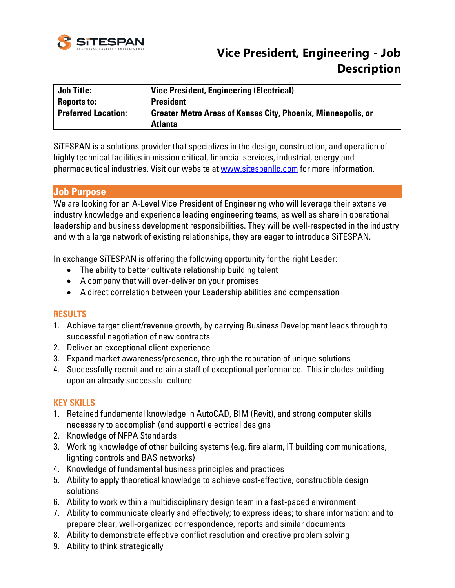

# **Vice President, Engineering - Job Description**

| <b>Job Title:</b>          | <b>Vice President, Engineering (Electrical)</b>                     |
|----------------------------|---------------------------------------------------------------------|
| <b>Reports to:</b>         | <b>President</b>                                                    |
| <b>Preferred Location:</b> | <b>Greater Metro Areas of Kansas City, Phoenix, Minneapolis, or</b> |
|                            | <b>Atlanta</b>                                                      |

SiTESPAN is a solutions provider that specializes in the design, construction, and operation of highly technical facilities in mission critical, financial services, industrial, energy and pharmaceutical industries. Visit our website at **www.sitespanllc.com** for more information.

### **Job Purpose**

We are looking for an A-Level Vice President of Engineering who will leverage their extensive industry knowledge and experience leading engineering teams, as well as share in operational leadership and business development responsibilities. They will be well-respected in the industry and with a large network of existing relationships, they are eager to introduce SiTESPAN.

In exchange SiTESPAN is offering the following opportunity for the right Leader:

- The ability to better cultivate relationship building talent
- A company that will over-deliver on your promises
- A direct correlation between your Leadership abilities and compensation

#### **RESULTS**

- 1. Achieve target client/revenue growth, by carrying Business Development leads through to successful negotiation of new contracts
- 2. Deliver an exceptional client experience
- 3. Expand market awareness/presence, through the reputation of unique solutions
- 4. Successfully recruit and retain a staff of exceptional performance. This includes building upon an already successful culture

#### **KEY SKILLS**

- 1. Retained fundamental knowledge in AutoCAD, BIM (Revit), and strong computer skills necessary to accomplish (and support) electrical designs
- 2. Knowledge of NFPA Standards
- 3. Working knowledge of other building systems (e.g. fire alarm, IT building communications, lighting controls and BAS networks)
- 4. Knowledge of fundamental business principles and practices
- 5. Ability to apply theoretical knowledge to achieve cost-effective, constructible design solutions
- 6. Ability to work within a multidisciplinary design team in a fast-paced environment
- 7. Ability to communicate clearly and effectively; to express ideas; to share information; and to prepare clear, well-organized correspondence, reports and similar documents
- 8. Ability to demonstrate effective conflict resolution and creative problem solving
- 9. Ability to think strategically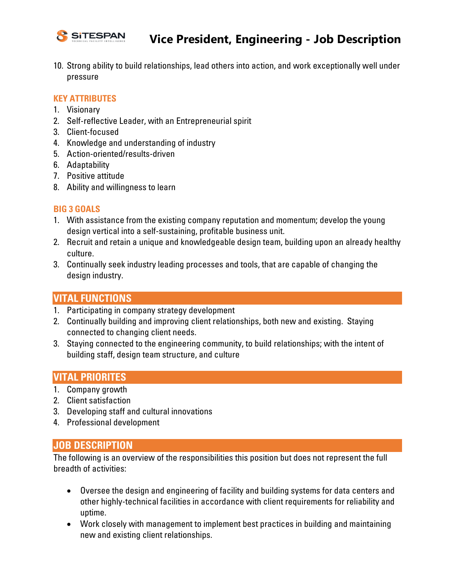

10. Strong ability to build relationships, lead others into action, and work exceptionally well under pressure

#### **KEY ATTRIBUTES**

- 1. Visionary
- 2. Self-reflective Leader, with an Entrepreneurial spirit
- 3. Client-focused
- 4. Knowledge and understanding of industry
- 5. Action-oriented/results-driven
- 6. Adaptability
- 7. Positive attitude
- 8. Ability and willingness to learn

#### **BIG 3 GOALS**

- 1. With assistance from the existing company reputation and momentum; develop the young design vertical into a self-sustaining, profitable business unit.
- 2. Recruit and retain a unique and knowledgeable design team, building upon an already healthy culture.
- 3. Continually seek industry leading processes and tools, that are capable of changing the design industry.

## **VITAL FUNCTIONS**

- 1. Participating in company strategy development
- 2. Continually building and improving client relationships, both new and existing. Staying connected to changing client needs.
- 3. Staying connected to the engineering community, to build relationships; with the intent of building staff, design team structure, and culture

## **VITAL PRIORITES**

- 1. Company growth
- 2. Client satisfaction
- 3. Developing staff and cultural innovations
- 4. Professional development

## **JOB DESCRIPTION**

The following is an overview of the responsibilities this position but does not represent the full breadth of activities:

- Oversee the design and engineering of facility and building systems for data centers and other highly-technical facilities in accordance with client requirements for reliability and uptime.
- Work closely with management to implement best practices in building and maintaining new and existing client relationships.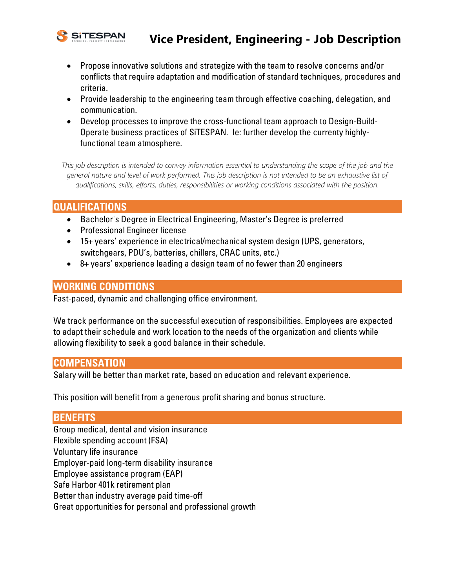

## **Vice President, Engineering - Job Description**

- Propose innovative solutions and strategize with the team to resolve concerns and/or conflicts that require adaptation and modification of standard techniques, procedures and criteria.
- Provide leadership to the engineering team through effective coaching, delegation, and communication.
- Develop processes to improve the cross-functional team approach to Design-Build-Operate business practices of SiTESPAN. Ie: further develop the currenty highlyfunctional team atmosphere.

This job description is intended to convey information essential to understanding the scope of the job and the *general nature and level of work performed. This job description is not intended to be an exhaustive list of qualifications, skills, efforts, duties, responsibilities or working conditions associated with the position.*

## **QUALIFICATIONS**

- Bachelor's Degree in Electrical Engineering, Master's Degree is preferred
- Professional Engineer license
- 15+ years' experience in electrical/mechanical system design (UPS, generators, switchgears, PDU's, batteries, chillers, CRAC units, etc.)
- 8+ years' experience leading a design team of no fewer than 20 engineers

## **WORKING CONDITIONS**

Fast-paced, dynamic and challenging office environment.

We track performance on the successful execution of responsibilities. Employees are expected to adapt their schedule and work location to the needs of the organization and clients while allowing flexibility to seek a good balance in their schedule.

#### **COMPENSATION**

Salary will be better than market rate, based on education and relevant experience.

This position will benefit from a generous profit sharing and bonus structure.

### **BENEFITS**

Group medical, dental and vision insurance Flexible spending account (FSA) Voluntary life insurance Employer-paid long-term disability insurance Employee assistance program (EAP) Safe Harbor 401k retirement plan Better than industry average paid time-off Great opportunities for personal and professional growth